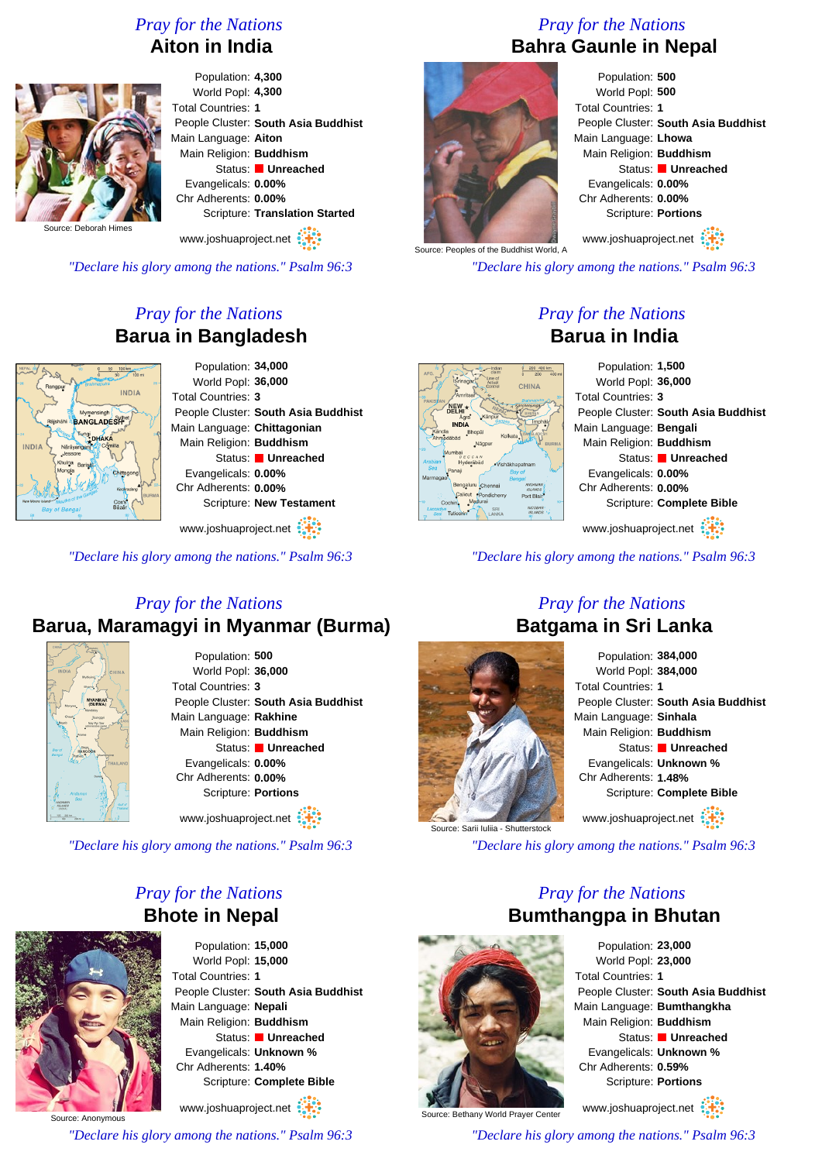# *Pray for the Nations* **Aiton in India**



Population: **4,300** World Popl: **4,300** Total Countries: **1** People Cluster: **South Asia Buddhist** Main Language: **Aiton** Main Religion: **Buddhism** Status: **Unreached** Evangelicals: **0.00%** Chr Adherents: **0.00%** Scripture: **Translation Started**

www.joshuaproject.net

*"Declare his glory among the nations." Psalm 96:3*

# *Pray for the Nations* **Barua in Bangladesh**



Population: **34,000** World Popl: **36,000** Total Countries: **3** People Cluster: **South Asia Buddhist** Main Language: **Chittagonian** Main Religion: **Buddhism** Status: **Unreached** Evangelicals: **0.00%** Chr Adherents: **0.00%** Scripture: **New Testament**

www.joshuaproject.net

*"Declare his glory among the nations." Psalm 96:3*

# *Pray for the Nations* **Barua, Maramagyi in Myanmar (Burma)**



Population: **500** World Popl: **36,000** Total Countries: **3** People Cluster: **South Asia Buddhist** Main Language: **Rakhine** Main Religion: **Buddhism** Status: **Unreached** Evangelicals: **0.00%** Chr Adherents: **0.00%** Scripture: **Portions** www.joshuaproject.net

*"Declare his glory among the nations." Psalm 96:3*

# *Pray for the Nations* **Bhote in Nepal**



Population: **15,000** World Popl: **15,000** Total Countries: **1** People Cluster: **South Asia Buddhist** Main Language: **Nepali** Main Religion: **Buddhism** Status: **Unreached** Evangelicals: **Unknown %** Chr Adherents: **1.40%** Scripture: **Complete Bible**

Source: Anonymous www.joshuaproject.net *"Declare his glory among the nations." Psalm 96:3*

# *Pray for the Nations* **Bahra Gaunle in Nepal**



Population: **500** World Popl: **500** Total Countries: **1** People Cluster: **South Asia Buddhist** Main Language: **Lhowa** Main Religion: **Buddhism** Status: **Unreached** Evangelicals: **0.00%** Chr Adherents: **0.00%** Scripture: **Portions**

Source: Peoples of the Buddhist World, A

*"Declare his glory among the nations." Psalm 96:3*

# *Pray for the Nations* **Barua in India**

| 200 400 km<br>Indian<br>clair<br>200                            | Population: 1,500                   |
|-----------------------------------------------------------------|-------------------------------------|
| $400 \text{ mi}$<br>he of<br><b>CHINA</b>                       | World Popl: 36,000                  |
| tsai                                                            | Total Countries: 3                  |
| á,<br>Känpur                                                    | People Cluster: South Asia Buddhist |
| Imphä<br>Bhopäl                                                 | Main Language: Bengali              |
| Kolkata<br>Nägpur<br><b>BURMA</b>                               | Main Religion: Buddhism             |
| CCAN<br>lerābād<br>·Vishäkhapatnam                              | Status: Unreached                   |
| <b>Bay of</b><br>Benga                                          | Evangelicals: 0.00%                 |
| duru Chennai<br>MEMAAAN<br><b>ISLANDS</b><br>tu<br>*Pondicherry | Chr Adherents: 0.00%                |
| Port Blair<br>Madura<br>$10 -$<br><b>NICOBAR</b><br>SRI         | Scripture: Complete Bible           |
| <b>ROMA ISL</b><br>LANKA                                        |                                     |
|                                                                 | www.joshuaproject.net               |

*"Declare his glory among the nations." Psalm 96:3*

# Source: Sarii Iuliia - Shutterstock

# *Pray for the Nations* **Batgama in Sri Lanka** Population: **384,000**

| Population: <b>384,000</b>          |
|-------------------------------------|
| World Popl: 384,000                 |
| <b>Total Countries: 1</b>           |
| People Cluster: South Asia Buddhist |
| Main Language: Sinhala              |
| Main Religion: Buddhism             |
| Status: <b>Unreached</b>            |
| Evangelicals: Unknown %             |
| Chr Adherents: 1.48%                |
| Scripture: Complete Bible           |
| www.joshuaproject.net               |

*"Declare his glory among the nations." Psalm 96:3*

# *Pray for the Nations* **Bumthangpa in Bhutan**



Population: **23,000** World Popl: **23,000** Total Countries: **1** People Cluster: **South Asia Buddhist** Main Language: **Bumthangkha** Main Religion: **Buddhism** Status: **Unreached** Evangelicals: **Unknown %** Chr Adherents: **0.59%** Scripture: **Portions**

www.joshuaproject.net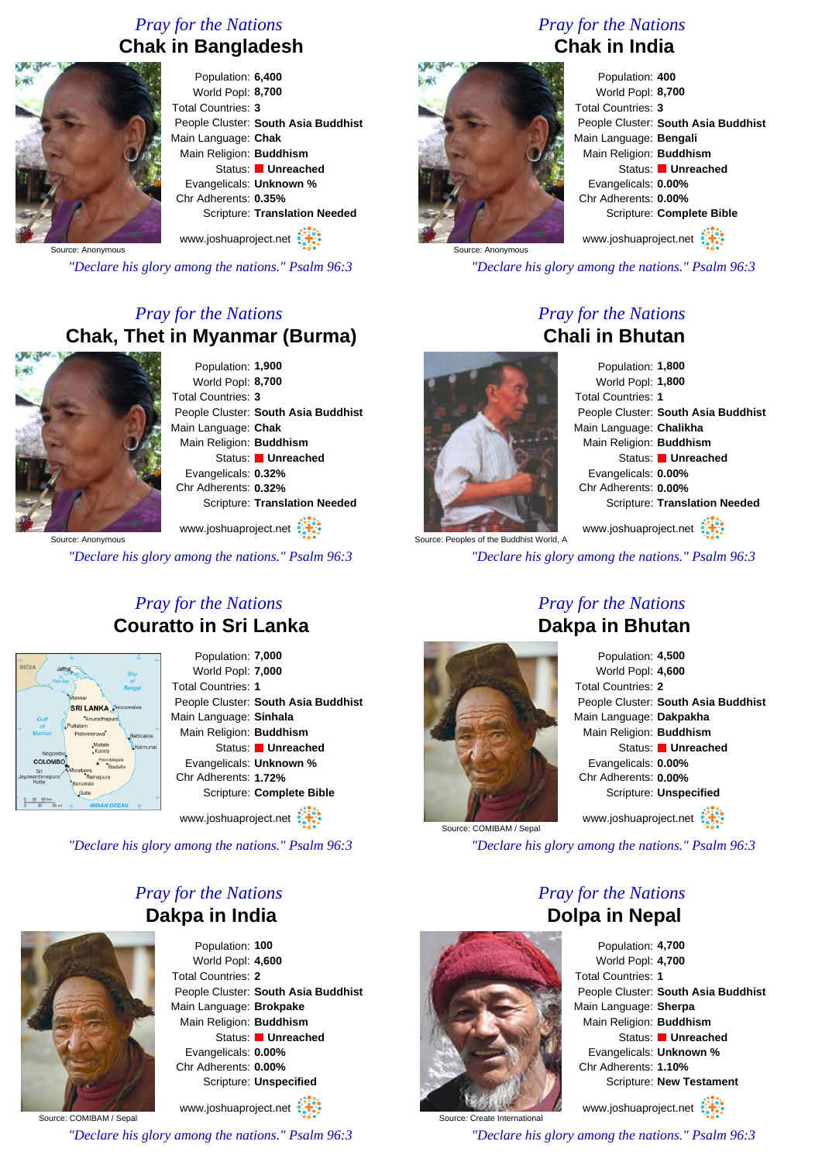# *Pray for the Nations* **Chak in Bangladesh**



Population: **6,400** World Popl: **8,700** Total Countries: **3** People Cluster: **South Asia Buddhist** Main Language: **Chak** Main Religion: **Buddhism** Status: **Unreached** Evangelicals: **Unknown %** Chr Adherents: **0.35%** Scripture: **Translation Needed** www.joshuaproject.net

Source: Anonymous

*"Declare his glory among the nations." Psalm 96:3*

# *Pray for the Nations* **Chak, Thet in Myanmar (Burma)**



Population: **1,900** World Popl: **8,700** Total Countries: **3** People Cluster: **South Asia Buddhist** Main Language: **Chak** Main Religion: **Buddhism** Status: **Unreached** Evangelicals: **0.32%** Chr Adherents: **0.32%** Scripture: **Translation Needed**

www.joshuaproject.net

*"Declare his glory among the nations." Psalm 96:3*

# *Pray for the Nations* **Couratto in Sri Lanka**



Population: **7,000** World Popl: **7,000** Total Countries: **1** People Cluster: **South Asia Buddhist** Main Language: **Sinhala** Main Religion: **Buddhism** Status: **Unreached** Evangelicals: **Unknown %** Chr Adherents: **1.72%** Scripture: **Complete Bible**

www.joshuaproject.net

*"Declare his glory among the nations." Psalm 96:3*

# *Pray for the Nations* **Dakpa in India**



Population: **100** World Popl: **4,600** Total Countries: **2** People Cluster: **South Asia Buddhist** Main Language: **Brokpake** Main Religion: **Buddhism** Status: **Unreached** Evangelicals: **0.00%** Chr Adherents: **0.00%** Scripture: **Unspecified** www.joshuaproject.net

Source: COMIBAM / Sepal

*"Declare his glory among the nations." Psalm 96:3*

# *Pray for the Nations* **Chak in India**



Population: **400** World Popl: **8,700** Total Countries: **3** People Cluster: **South Asia Buddhist** Main Language: **Bengali** Main Religion: **Buddhism** Status: **Unreached** Evangelicals: **0.00%** Chr Adherents: **0.00%** Scripture: **Complete Bible**

www.joshuaproject.net

*"Declare his glory among the nations." Psalm 96:3*

# *Pray for the Nations* **Chali in Bhutan**



Population: **1,800** World Popl: **1,800** Total Countries: **1** People Cluster: **South Asia Buddhist** Main Language: **Chalikha** Main Religion: **Buddhism** Status: **Unreached** Evangelicals: **0.00%** Chr Adherents: **0.00%** Scripture: **Translation Needed** www.joshuaproject.net

Source: Peoples of the Buddhist World, A *"Declare his glory among the nations." Psalm 96:3*

# *Pray for the Nations* **Dakpa in Bhutan**



Source: COMIBAM / Sepal



*"Declare his glory among the nations." Psalm 96:3*

*Pray for the Nations* **Dolpa in Nepal**



www.joshuaproject.net

*"Declare his glory among the nations." Psalm 96:3*



Source: Create International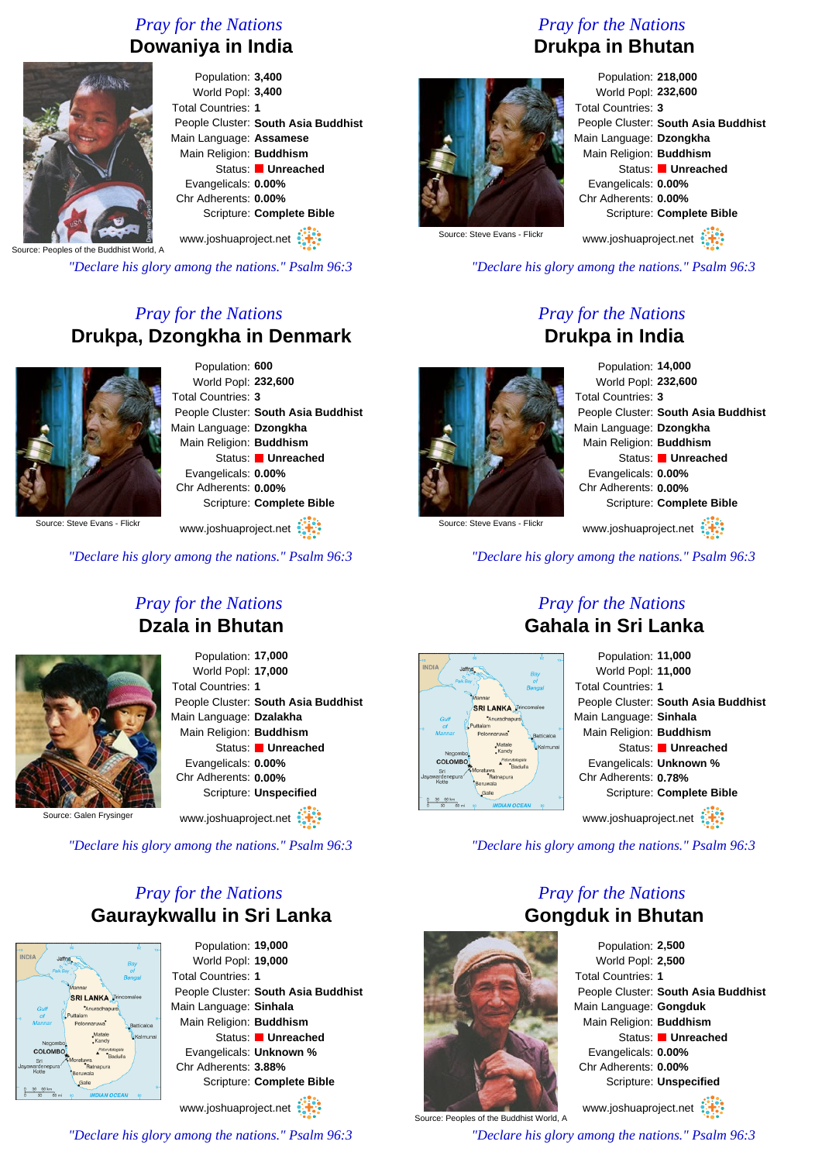# *Pray for the Nations* **Dowaniya in India**



Population: **3,400** World Popl: **3,400** Total Countries: **1** People Cluster: **South Asia Buddhist** Main Language: **Assamese** Main Religion: **Buddhism** Status: **Unreached** Evangelicals: **0.00%** Chr Adherents: **0.00%** Scripture: **Complete Bible** www.joshuaproject.net

Source: Peoples of the Buddhist World, A

*"Declare his glory among the nations." Psalm 96:3*

# *Pray for the Nations* **Drukpa, Dzongkha in Denmark**



Population: **600** World Popl: **232,600** Total Countries: **3** People Cluster: **South Asia Buddhist** Main Language: **Dzongkha** Main Religion: **Buddhism** Status: **Unreached** Evangelicals: **0.00%** Chr Adherents: **0.00%** Scripture: **Complete Bible**

Source: Steve Evans - Flick

*"Declare his glory among the nations." Psalm 96:3*

www.joshuaproject.net

# *Pray for the Nations* **Drukpa in Bhutan**



Population: **218,000** World Popl: **232,600** Total Countries: **3** People Cluster: **South Asia Buddhist** Main Language: **Dzongkha** Main Religion: **Buddhism** Status: **Unreached** Evangelicals: **0.00%** Chr Adherents: **0.00%** Scripture: **Complete Bible** www.joshuaproject.net

Source: Steve Evans - Flickr

*"Declare his glory among the nations." Psalm 96:3*

# *Pray for the Nations* **Drukpa in India**



Population: **14,000** World Popl: **232,600** Total Countries: **3** People Cluster: **South Asia Buddhist** Main Language: **Dzongkha** Main Religion: **Buddhism** Status: **Unreached** Evangelicals: **0.00%** Chr Adherents: **0.00%** Scripture: **Complete Bible** www.joshuaproject.net

Source: Steve Evans - Flickr

*"Declare his glory among the nations." Psalm 96:3*

# *Pray for the Nations* **Dzala in Bhutan**



Population: **17,000** World Popl: **17,000** Total Countries: **1** People Cluster: **South Asia Buddhist** Main Language: **Dzalakha** Main Religion: **Buddhism** Status: **Unreached** Evangelicals: **0.00%** Chr Adherents: **0.00%** Scripture: **Unspecified**

Source: Galen Frysinger

www.joshuaproject.net

*"Declare his glory among the nations." Psalm 96:3*

# *Pray for the Nations* **Gauraykwallu in Sri Lanka**



Population: **19,000** World Popl: **19,000** Total Countries: **1** People Cluster: **South Asia Buddhist** Main Language: **Sinhala** Main Religion: **Buddhism** Status: **Unreached** Evangelicals: **Unknown %** Chr Adherents: **3.88%** Scripture: **Complete Bible** www.joshuaproject.net

*"Declare his glory among the nations." Psalm 96:3*

# *Pray for the Nations* **Gahala in Sri Lanka**



*"Declare his glory among the nations." Psalm 96:3*

# *Pray for the Nations* **Gongduk in Bhutan**



Population: **2,500** World Popl: **2,500** Total Countries: **1** People Cluster: **South Asia Buddhist** Main Language: **Gongduk** Main Religion: **Buddhism** Status: **Unreached** Evangelicals: **0.00%** Chr Adherents: **0.00%** Scripture: **Unspecified**

Source: Peoples of the Buddhist World, A www.joshuaproject.net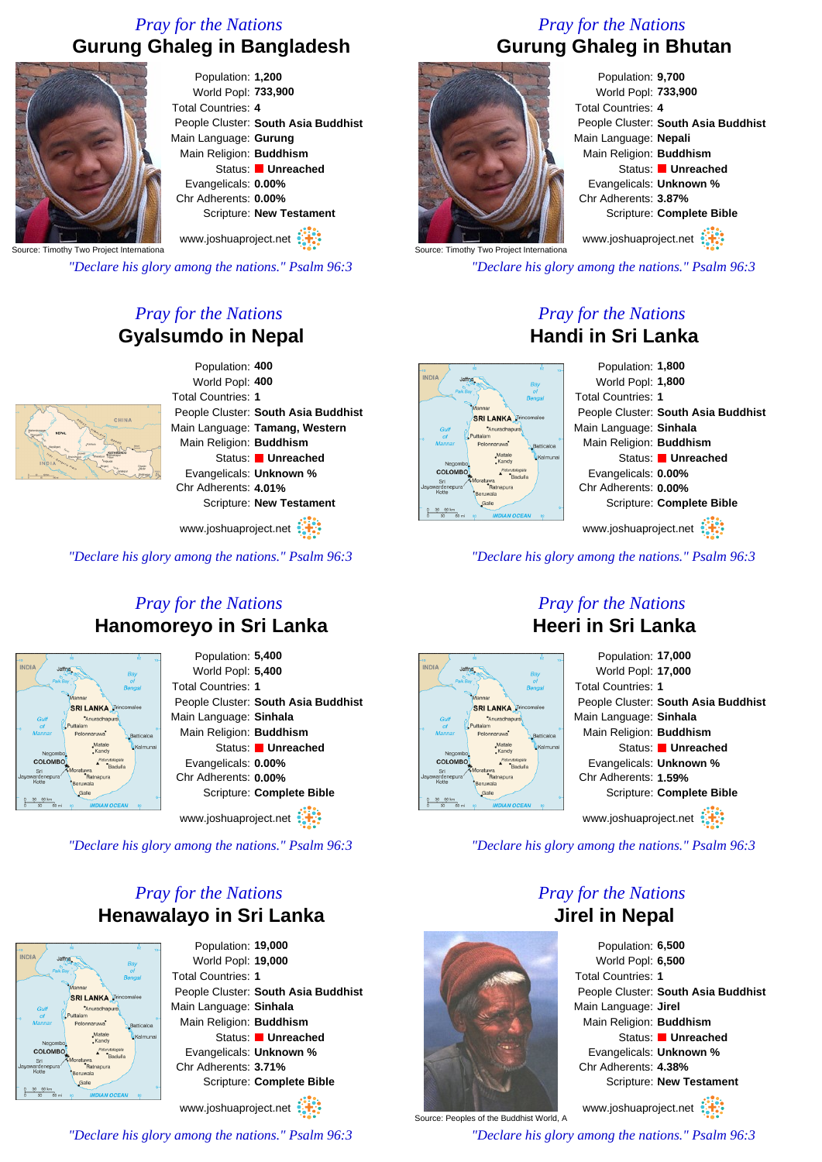# *Pray for the Nations* **Gurung Ghaleg in Bangladesh**



Population: **1,200** World Popl: **733,900** Total Countries: **4** People Cluster: **South Asia Buddhist** Main Language: **Gurung** Main Religion: **Buddhism** Status: **Unreached** Evangelicals: **0.00%** Chr Adherents: **0.00%** Scripture: **New Testament**

Source: Timothy Two Project Internationa

*"Declare his glory among the nations." Psalm 96:3*

# *Pray for the Nations* **Gyalsumdo in Nepal**



Population: **400** World Popl: **400** Total Countries: **1** People Cluster: **South Asia Buddhist** Main Language: **Tamang, Western** Main Religion: **Buddhism** Status: **Unreached** Evangelicals: **Unknown %** Chr Adherents: **4.01%** Scripture: **New Testament**

www.joshuaproject.net

*"Declare his glory among the nations." Psalm 96:3*

# *Pray for the Nations* **Hanomoreyo in Sri Lanka**



Population: **5,400** World Popl: **5,400** Total Countries: **1** People Cluster: **South Asia Buddhist** Main Language: **Sinhala** Main Religion: **Buddhism** Status: **Unreached** Evangelicals: **0.00%** Chr Adherents: **0.00%** Scripture: **Complete Bible** www.joshuaproject.net :

*"Declare his glory among the nations." Psalm 96:3*

# *Pray for the Nations* **Henawalayo in Sri Lanka**



Population: **19,000** World Popl: **19,000** Total Countries: **1** People Cluster: **South Asia Buddhist** Main Language: **Sinhala** Main Religion: **Buddhism** Status: **Unreached** Evangelicals: **Unknown %** Chr Adherents: **3.71%** Scripture: **Complete Bible** www.joshuaproject.net

*"Declare his glory among the nations." Psalm 96:3*

# *Pray for the Nations* **Gurung Ghaleg in Bhutan**



Population: **9,700** World Popl: **733,900** Total Countries: **4** People Cluster: **South Asia Buddhist** Main Language: **Nepali** Main Religion: **Buddhism** Status: **Unreached** Evangelicals: **Unknown %** Chr Adherents: **3.87%** Scripture: **Complete Bible** www.joshuaproject.net

Source: Timothy Two Project Internationa

*"Declare his glory among the nations." Psalm 96:3*

# *Pray for the Nations* **Handi in Sri Lanka**



*"Declare his glory among the nations." Psalm 96:3*

# *Pray for the Nations* **Heeri in Sri Lanka**



*"Declare his glory among the nations." Psalm 96:3*

# *Pray for the Nations* **Jirel in Nepal**



www.joshuaproject.net

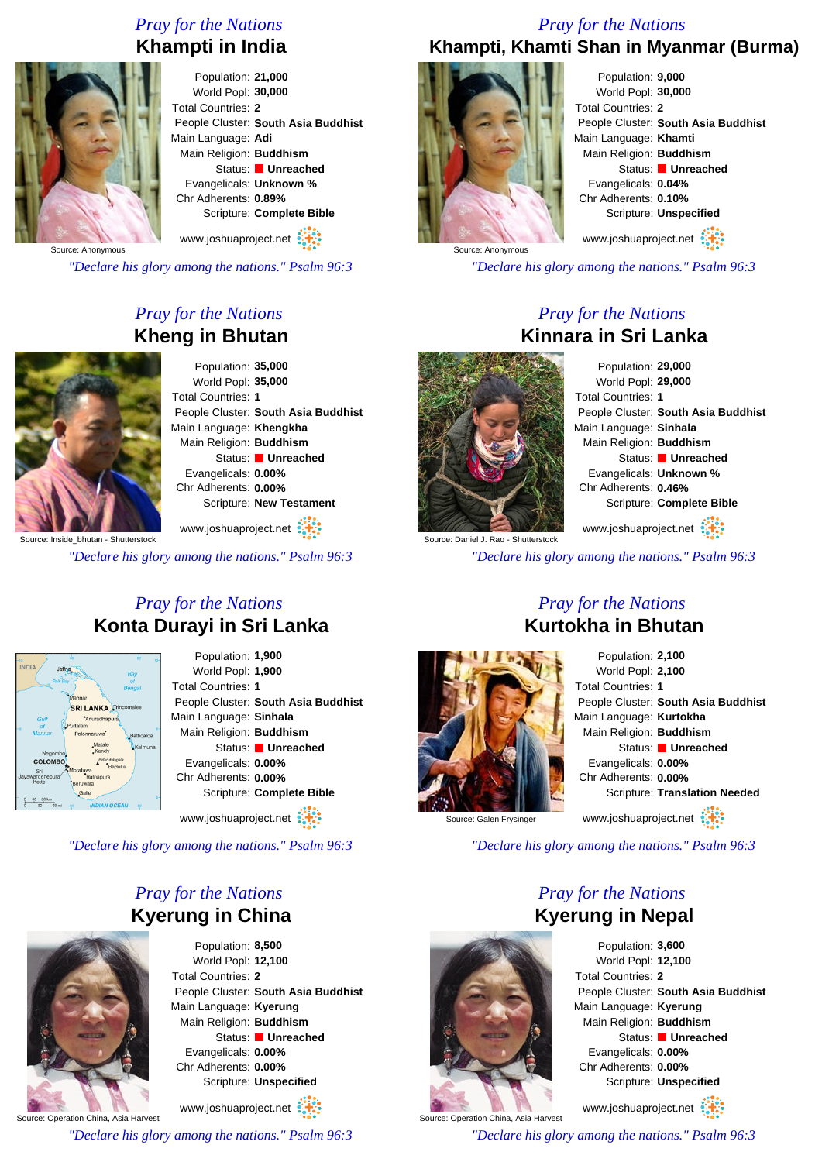# *Pray for the Nations* **Khampti in India**



Population: **21,000** World Popl: **30,000** Total Countries: **2** People Cluster: **South Asia Buddhist** Main Language: **Adi** Main Religion: **Buddhism** Status: **Unreached** Evangelicals: **Unknown %** Chr Adherents: **0.89%** Scripture: **Complete Bible**

www.joshuaproject.net

*"Declare his glory among the nations." Psalm 96:3*

# *Pray for the Nations* **Kheng in Bhutan**



Population: **35,000** World Popl: **35,000** Total Countries: **1** People Cluster: **South Asia Buddhist** Main Language: **Khengkha** Main Religion: **Buddhism** Status: **Unreached** Evangelicals: **0.00%** Chr Adherents: **0.00%** Scripture: **New Testament**

ce: Inside\_bhutan - Shutterstock www.joshuaproject.net

*"Declare his glory among the nations." Psalm 96:3*

# *Pray for the Nations* **Konta Durayi in Sri Lanka**



Population: **1,900** World Popl: **1,900** Total Countries: **1** People Cluster: **South Asia Buddhist** Main Language: **Sinhala** Main Religion: **Buddhism** Status: **Unreached** Evangelicals: **0.00%** Chr Adherents: **0.00%** Scripture: **Complete Bible**

www.joshuaproject.net

*"Declare his glory among the nations." Psalm 96:3*

# *Pray for the Nations* **Kyerung in China**



Population: **8,500** World Popl: **12,100** Total Countries: **2** People Cluster: **South Asia Buddhist** Main Language: **Kyerung** Main Religion: **Buddhism** Status: **Unreached** Evangelicals: **0.00%** Chr Adherents: **0.00%** Scripture: **Unspecified**

www.joshuaproject.net

*"Declare his glory among the nations." Psalm 96:3*

# *Pray for the Nations* **Khampti, Khamti Shan in Myanmar (Burma)**



Population: **9,000** World Popl: **30,000** Total Countries: **2** People Cluster: **South Asia Buddhist** Main Language: **Khamti** Main Religion: **Buddhism** Status: **Unreached** Evangelicals: **0.04%** Chr Adherents: **0.10%** Scripture: **Unspecified** www.joshuaproject.net

*"Declare his glory among the nations." Psalm 96:3*

# *Pray for the Nations* **Kinnara in Sri Lanka**



Population: **29,000** World Popl: **29,000** Total Countries: **1** People Cluster: **South Asia Buddhist** Main Language: **Sinhala** Main Religion: **Buddhism** Status: **Unreached** Evangelicals: **Unknown %** Chr Adherents: **0.46%** Scripture: **Complete Bible** www.joshuaproject.net

*"Declare his glory among the nations." Psalm 96:3*

# *Pray for the Nations* **Kurtokha in Bhutan**

Population: **2,100** World Popl: **2,100** Total Countries: **1** People Cluster: **South Asia Buddhist** Main Language: **Kurtokha** Main Religion: **Buddhism** Status: **Unreached** Evangelicals: **0.00%** Chr Adherents: **0.00%** Scripture: **Translation Needed** www.joshuaproject.net

Source: Galen Frysinger

Source: Operation China, Asia Harvest

*"Declare his glory among the nations." Psalm 96:3*

# *Pray for the Nations* **Kyerung in Nepal**



Population: **3,600** World Popl: **12,100** Total Countries: **2** People Cluster: **South Asia Buddhist** Main Language: **Kyerung** Main Religion: **Buddhism** Status: **Unreached** Evangelicals: **0.00%** Chr Adherents: **0.00%** Scripture: **Unspecified**

www.joshuaproject.net

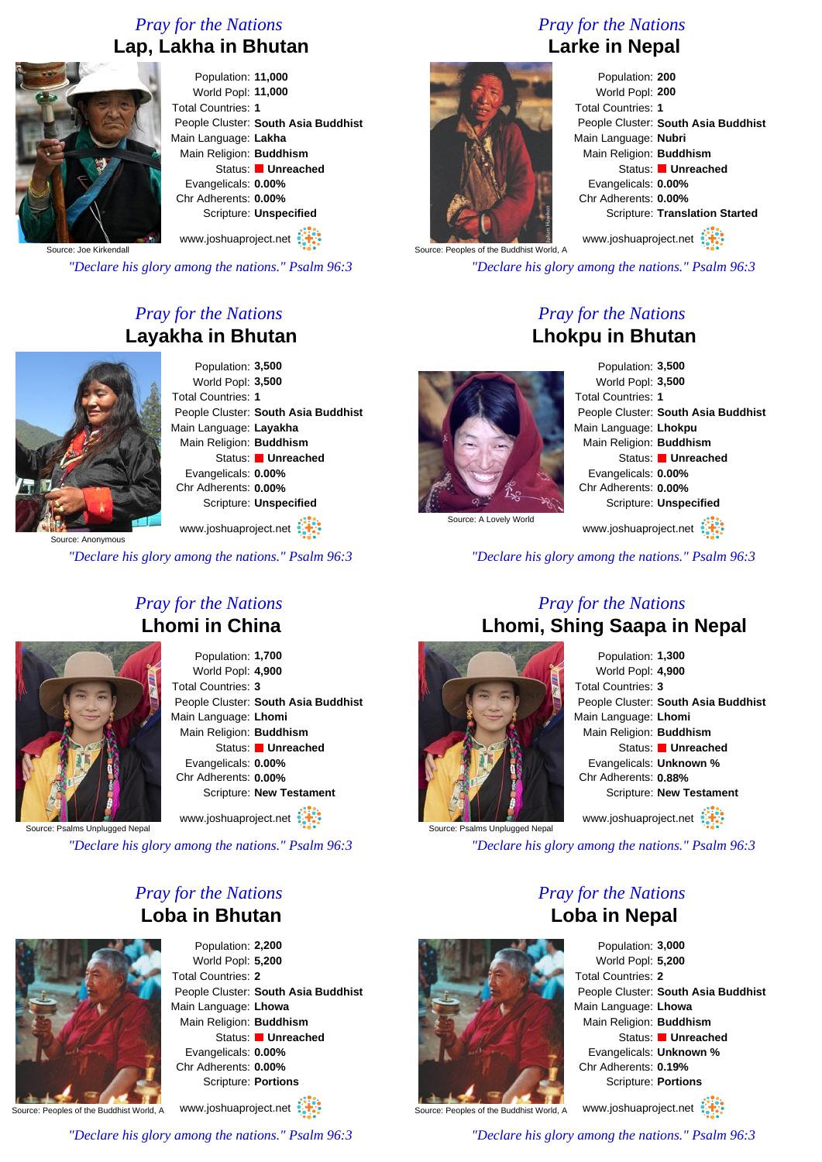# *Pray for the Nations* **Lap, Lakha in Bhutan**



Population: **11,000** World Popl: **11,000** Total Countries: **1** People Cluster: **South Asia Buddhist** Main Language: **Lakha** Main Religion: **Buddhism** Status: **Unreached** Evangelicals: **0.00%** Chr Adherents: **0.00%** Scripture: **Unspecified**

www.joshuaproject.net

Source: Joe Kirkendall

*"Declare his glory among the nations." Psalm 96:3*

# *Pray for the Nations* **Layakha in Bhutan**



Population: **3,500** World Popl: **3,500** Total Countries: **1** People Cluster: **South Asia Buddhist** Main Language: **Layakha** Main Religion: **Buddhism** Status: **Unreached** Evangelicals: **0.00%** Chr Adherents: **0.00%** Scripture: **Unspecified** www.joshuaproject.net

urce: Anonymous

*"Declare his glory among the nations." Psalm 96:3*

# *Pray for the Nations* **Lhomi in China**



Population: **1,700** World Popl: **4,900** Total Countries: **3** People Cluster: **South Asia Buddhist** Main Language: **Lhomi** Main Religion: **Buddhism** Status: **Unreached** Evangelicals: **0.00%** Chr Adherents: **0.00%** Scripture: **New Testament**

www.joshuaproject.net

salms Unplugged Nepa

*"Declare his glory among the nations." Psalm 96:3*

# *Pray for the Nations* **Loba in Bhutan**



Population: **2,200** World Popl: **5,200** Total Countries: **2** People Cluster: **South Asia Buddhist** Main Language: **Lhowa** Main Religion: **Buddhism** Status: **Unreached** Evangelicals: **0.00%** Chr Adherents: **0.00%** Scripture: **Portions**

www.joshuaproject.net

Source: Peoples of the Buddhist World, A

*"Declare his glory among the nations." Psalm 96:3*

# *Pray for the Nations*

# **Larke in Nepal**



Population: **200** World Popl: **200** Total Countries: **1** People Cluster: **South Asia Buddhist** Main Language: **Nubri** Main Religion: **Buddhism** Status: **Unreached** Evangelicals: **0.00%** Chr Adherents: **0.00%** Scripture: **Translation Started**

www.joshuaproject.net

*"Declare his glory among the nations." Psalm 96:3*

# *Pray for the Nations* **Lhokpu in Bhutan**



Population: **3,500** World Popl: **3,500** Total Countries: **1** People Cluster: **South Asia Buddhist** Main Language: **Lhokpu** Main Religion: **Buddhism** Status: **Unreached** Evangelicals: **0.00%** Chr Adherents: **0.00%** Scripture: **Unspecified** www.joshuaproject.net

Source: A Lovely World

*"Declare his glory among the nations." Psalm 96:3*

# *Pray for the Nations* **Lhomi, Shing Saapa in Nepal**



Population: **1,300** World Popl: **4,900** Total Countries: **3** People Cluster: **South Asia Buddhist** Main Language: **Lhomi** Main Religion: **Buddhism** Status: **Unreached** Evangelicals: **Unknown %** Chr Adherents: **0.88%** Scripture: **New Testament** www.joshuaproject.net

*"Declare his glory among the nations." Psalm 96:3*

*Pray for the Nations* **Loba in Nepal**

Population: **3,000** World Popl: **5,200** Total Countries: **2** People Cluster: **South Asia Buddhist** Main Language: **Lhowa** Main Religion: **Buddhism** Status: **Unreached** Evangelicals: **Unknown %** Chr Adherents: **0.19%** Scripture: **Portions**

Source: Peoples of the Buddhist World, A

www.joshuaproject.net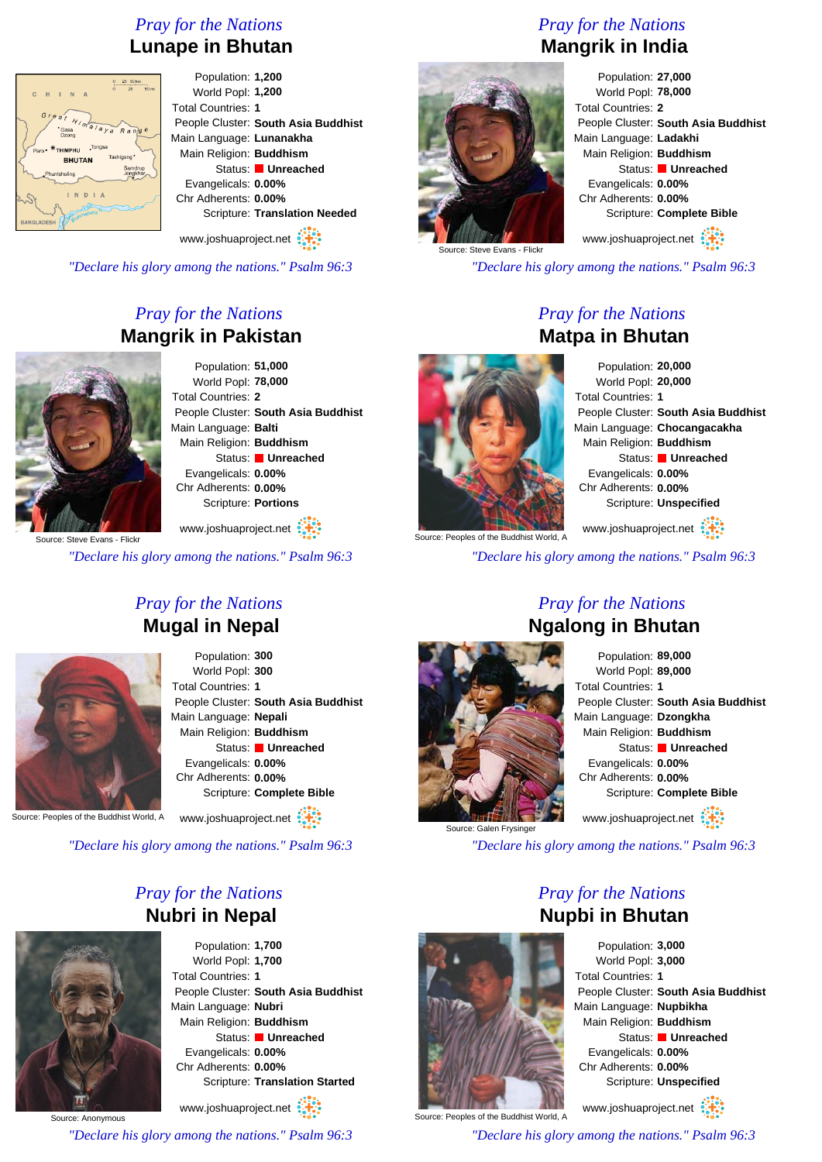# *Pray for the Nations* **Lunape in Bhutan**



Population: **1,200** World Popl: **1,200** Total Countries: **1** People Cluster: **South Asia Buddhist** Main Language: **Lunanakha** Main Religion: **Buddhism** Status: **Unreached** Evangelicals: **0.00%** Chr Adherents: **0.00%** Scripture: **Translation Needed**

www.joshuaproject.net

*"Declare his glory among the nations." Psalm 96:3*

# *Pray for the Nations* **Mangrik in Pakistan**



Population: **51,000** World Popl: **78,000** Total Countries: **2** People Cluster: **South Asia Buddhist** Main Language: **Balti** Main Religion: **Buddhism** Status: **Unreached** Evangelicals: **0.00%** Chr Adherents: **0.00%** Scripture: **Portions**

Source: Steve Evans - Flick www.joshuaproject.net

*"Declare his glory among the nations." Psalm 96:3*

# *Pray for the Nations* **Mugal in Nepal**



Population: **300** World Popl: **300** Total Countries: **1** People Cluster: **South Asia Buddhist** Main Language: **Nepali** Main Religion: **Buddhism** Status: **Unreached** Evangelicals: **0.00%** Chr Adherents: **0.00%** Scripture: **Complete Bible**

www.joshuaproject.net

Source: Peoples of the Buddhist World, A

*"Declare his glory among the nations." Psalm 96:3*

# *Pray for the Nations* **Nubri in Nepal**



Source: Anonymous

Population: **1,700** World Popl: **1,700** Total Countries: **1** People Cluster: **South Asia Buddhist** Main Language: **Nubri** Main Religion: **Buddhism** Status: **Unreached** Evangelicals: **0.00%** Chr Adherents: **0.00%** Scripture: **Translation Started**

www.joshuaproject.net

*"Declare his glory among the nations." Psalm 96:3*

# *Pray for the Nations* **Mangrik in India**



Population: **27,000** World Popl: **78,000** Total Countries: **2** People Cluster: **South Asia Buddhist** Main Language: **Ladakhi** Main Religion: **Buddhism** Status: **Unreached** Evangelicals: **0.00%** Chr Adherents: **0.00%** Scripture: **Complete Bible** www.joshuaproject.net

Source: Steve Evans - Flickr

*"Declare his glory among the nations." Psalm 96:3*

# *Pray for the Nations* **Matpa in Bhutan**

Population: **20,000** World Popl: **20,000** Total Countries: **1** People Cluster: **South Asia Buddhist** Main Language: **Chocangacakha** Main Religion: **Buddhism** Status: **Unreached** Evangelicals: **0.00%** Chr Adherents: **0.00%** Scripture: **Unspecified**

Source: Peoples of the Buddhist World, A www.joshuaproject.net

*"Declare his glory among the nations." Psalm 96:3*



Source: Galen Frysinge

# *Pray for the Nations* **Ngalong in Bhutan**

Population: **89,000** World Popl: **89,000** Total Countries: **1** People Cluster: **South Asia Buddhist** Main Language: **Dzongkha** Main Religion: **Buddhism** Status: **Unreached** Evangelicals: **0.00%** Chr Adherents: **0.00%** Scripture: **Complete Bible** www.joshuaproject.net

*"Declare his glory among the nations." Psalm 96:3*

*Pray for the Nations* **Nupbi in Bhutan**



Population: **3,000** World Popl: **3,000** Total Countries: **1** People Cluster: **South Asia Buddhist** Main Language: **Nupbikha** Main Religion: **Buddhism** Status: **Unreached** Evangelicals: **0.00%** Chr Adherents: **0.00%** Scripture: **Unspecified**

www.joshuaproject.net

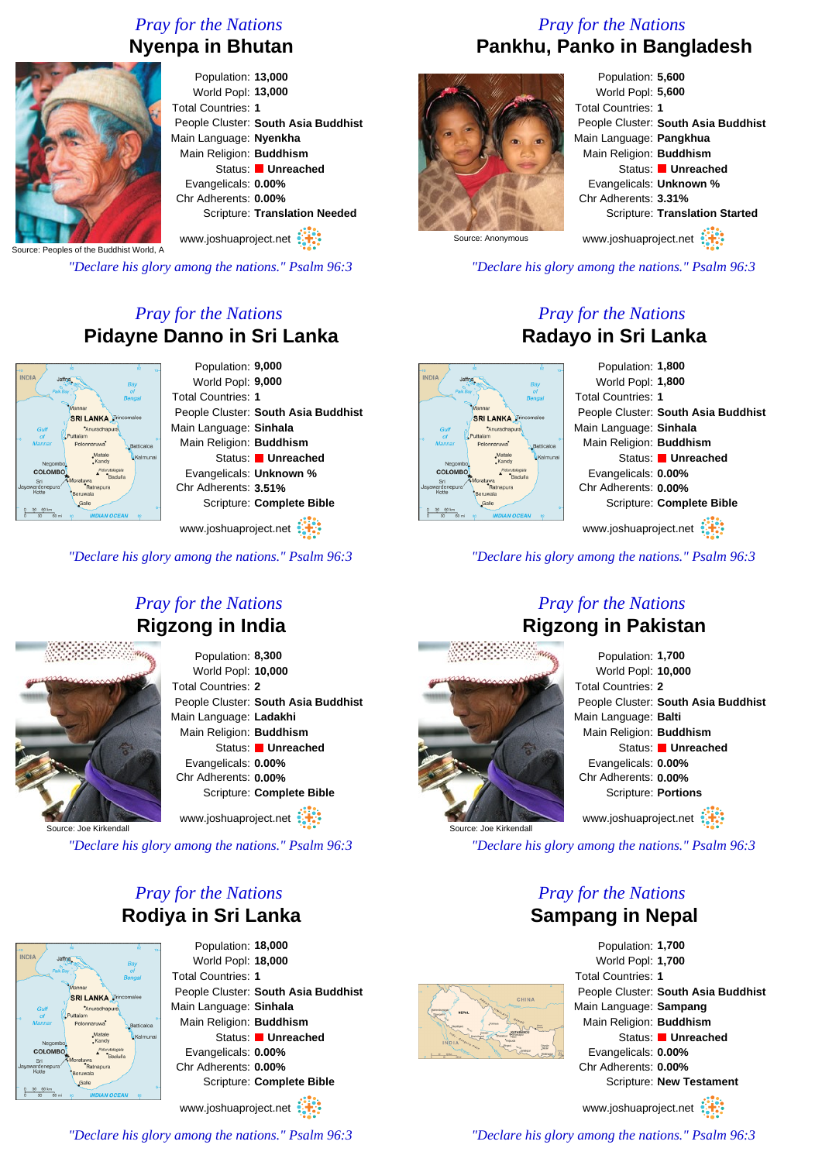# *Pray for the Nations* **Nyenpa in Bhutan**



Population: **13,000** World Popl: **13,000** Total Countries: **1** People Cluster: **South Asia Buddhist** Main Language: **Nyenkha** Main Religion: **Buddhism** Status: **Unreached** Evangelicals: **0.00%** Chr Adherents: **0.00%** Scripture: **Translation Needed** www.joshuaproject.net

Source: Peoples of the Buddhist World, A

*"Declare his glory among the nations." Psalm 96:3*

# *Pray for the Nations* **Pidayne Danno in Sri Lanka**



www.joshuaproject.net

*"Declare his glory among the nations." Psalm 96:3*

# *Pray for the Nations* **Rigzong in India**



Population: **8,300** World Popl: **10,000** Total Countries: **2** People Cluster: **South Asia Buddhist** Main Language: **Ladakhi** Main Religion: **Buddhism** Status: **Unreached** Evangelicals: **0.00%** Chr Adherents: **0.00%** Scripture: **Complete Bible** www.joshuaproject.net

Surce: Joe Kirkenda

*"Declare his glory among the nations." Psalm 96:3*

# *Pray for the Nations* **Rodiya in Sri Lanka**



Population: **18,000** World Popl: **18,000** Total Countries: **1** People Cluster: **South Asia Buddhist** Main Language: **Sinhala** Main Religion: **Buddhism** Status: **Unreached** Evangelicals: **0.00%** Chr Adherents: **0.00%** Scripture: **Complete Bible**

www.joshuaproject.net

*"Declare his glory among the nations." Psalm 96:3*

# *Pray for the Nations* **Pankhu, Panko in Bangladesh**



Population: **5,600** World Popl: **5,600** Total Countries: **1** People Cluster: **South Asia Buddhist** Main Language: **Pangkhua** Main Religion: **Buddhism** Status: **Unreached** Evangelicals: **Unknown %** Chr Adherents: **3.31%** Scripture: **Translation Started** www.joshuaproject.net

Source: Anonymous

*"Declare his glory among the nations." Psalm 96:3*

# *Pray for the Nations* **Radayo in Sri Lanka**



*"Declare his glory among the nations." Psalm 96:3*



Source: Joe Kirkendall

# *Pray for the Nations* **Rigzong in Pakistan**

Population: **1,700** World Popl: **10,000** Total Countries: **2** People Cluster: **South Asia Buddhist** Main Language: **Balti** Main Religion: **Buddhism** Status: **Unreached** Evangelicals: **0.00%** Chr Adherents: **0.00%** Scripture: **Portions** www.joshuaproject.net

*"Declare his glory among the nations." Psalm 96:3*

# *Pray for the Nations* **Sampang in Nepal**



Population: **1,700** World Popl: **1,700** Total Countries: **1** People Cluster: **South Asia Buddhist** Main Language: **Sampang** Main Religion: **Buddhism** Status: **Unreached** Evangelicals: **0.00%** Chr Adherents: **0.00%** Scripture: **New Testament**

www.joshuaproject.net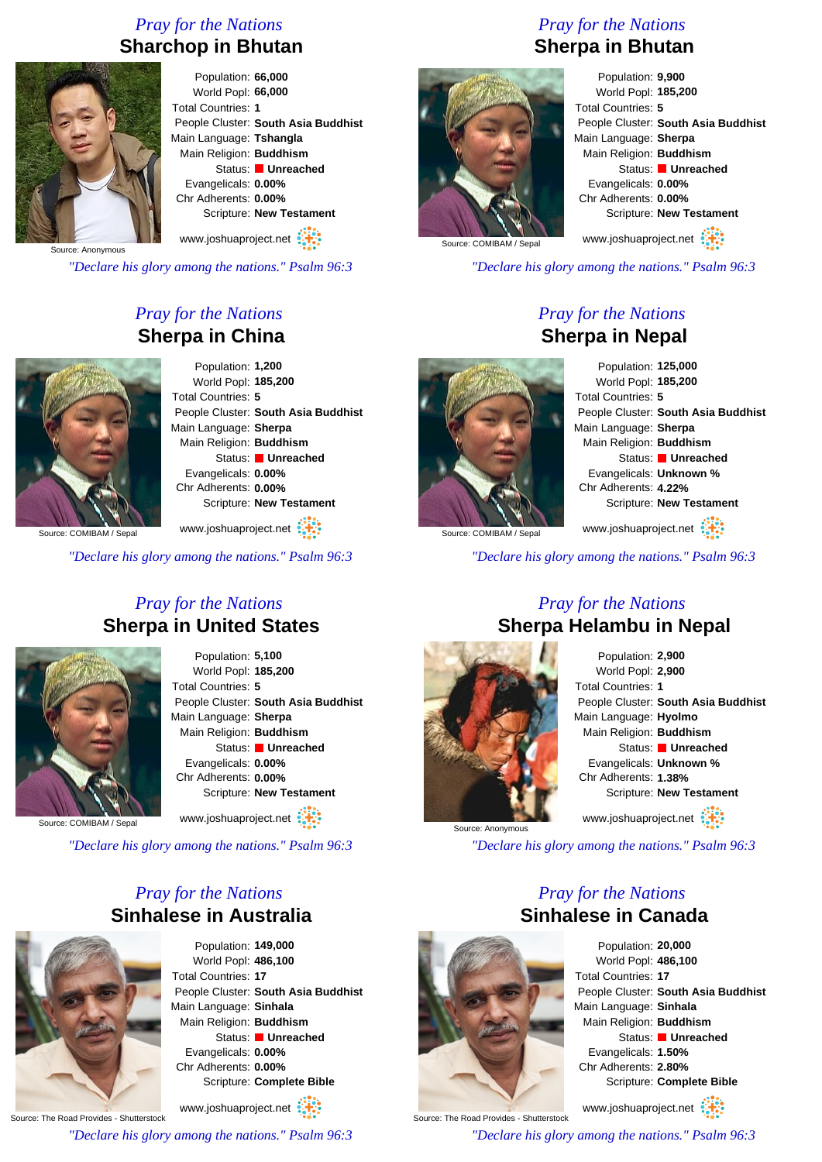# *Pray for the Nations* **Sharchop in Bhutan**



Population: **66,000** World Popl: **66,000** Total Countries: **1** People Cluster: **South Asia Buddhist** Main Language: **Tshangla** Main Religion: **Buddhism** Status: **Unreached** Evangelicals: **0.00%** Chr Adherents: **0.00%** Scripture: **New Testament** www.joshuaproject.net

Source: Anonymous

*"Declare his glory among the nations." Psalm 96:3*

# *Pray for the Nations* **Sherpa in China**



Population: **1,200** World Popl: **185,200** Total Countries: **5** People Cluster: **South Asia Buddhist** Main Language: **Sherpa** Main Religion: **Buddhism** Status: **Unreached** Evangelicals: **0.00%** Chr Adherents: **0.00%** Scripture: **New Testament**

www.joshuaproject.net :

Source: COMIBAM / Sepal

*"Declare his glory among the nations." Psalm 96:3*

# *Pray for the Nations* **Sherpa in United States**



Population: **5,100** World Popl: **185,200** Total Countries: **5** People Cluster: **South Asia Buddhist** Main Language: **Sherpa** Main Religion: **Buddhism** Status: **Unreached** Evangelicals: **0.00%** Chr Adherents: **0.00%** Scripture: **New Testament**

www.joshuaproject.net

Source: COMIBAM / Sepa

*"Declare his glory among the nations." Psalm 96:3*

# *Pray for the Nations* **Sinhalese in Australia**



Population: **149,000** World Popl: **486,100** Total Countries: **17** People Cluster: **South Asia Buddhist** Main Language: **Sinhala** Main Religion: **Buddhism** Status: **Unreached** Evangelicals: **0.00%** Chr Adherents: **0.00%** Scripture: **Complete Bible**

Source: The Road Provides - Shutterstock www.joshuaproject.net *"Declare his glory among the nations." Psalm 96:3*

*Pray for the Nations* **Sherpa in Bhutan**



Population: **9,900** World Popl: **185,200** Total Countries: **5** People Cluster: **South Asia Buddhist** Main Language: **Sherpa** Main Religion: **Buddhism** Status: **Unreached** Evangelicals: **0.00%** Chr Adherents: **0.00%** Scripture: **New Testament** www.joshuaproject.net

Source: COMIBAM / Sepa

*"Declare his glory among the nations." Psalm 96:3*

# *Pray for the Nations* **Sherpa in Nepal**



Population: **125,000** World Popl: **185,200** Total Countries: **5** People Cluster: **South Asia Buddhist** Main Language: **Sherpa** Main Religion: **Buddhism** Status: **Unreached** Evangelicals: **Unknown %** Chr Adherents: **4.22%** Scripture: **New Testament** www.joshuaproject.net

Source: COMIBAM / Sepal

*"Declare his glory among the nations." Psalm 96:3*

# *Pray for the Nations* **Sherpa Helambu in Nepal**



Population: **2,900** World Popl: **2,900** Total Countries: **1** People Cluster: **South Asia Buddhist** Main Language: **Hyolmo** Main Religion: **Buddhism** Status: **Unreached** Evangelicals: **Unknown %** Chr Adherents: **1.38%** Scripture: **New Testament** www.joshuaproject.net

*"Declare his glory among the nations." Psalm 96:3*

# *Pray for the Nations* **Sinhalese in Canada**



www.joshuaproject.net

*"Declare his glory among the nations." Psalm 96:3*



Source: The Road Provides - Shutterstock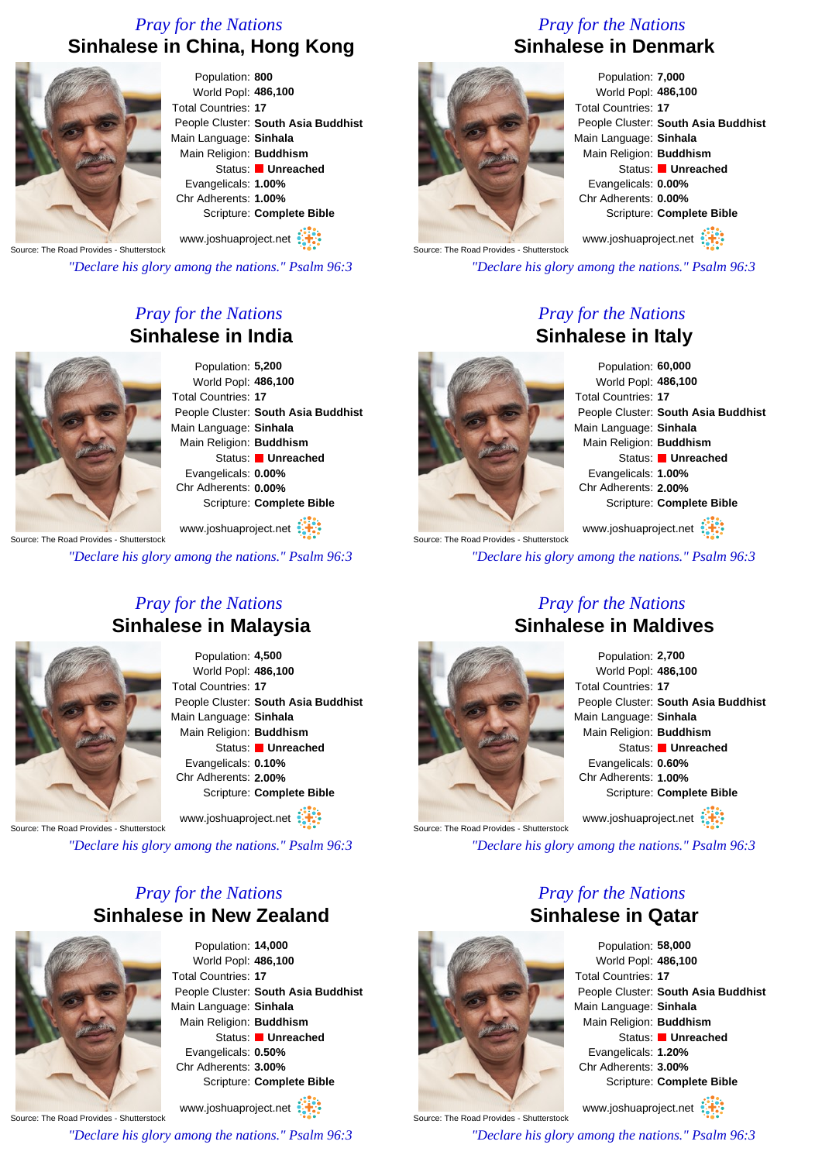# *Pray for the Nations* **Sinhalese in China, Hong Kong**



Population: **800** World Popl: **486,100** Total Countries: **17** People Cluster: **South Asia Buddhist** Main Language: **Sinhala** Main Religion: **Buddhism** Status: **Unreached** Evangelicals: **1.00%** Chr Adherents: **1.00%** Scripture: **Complete Bible**

Source: The Road Provides - Shutterstock www.joshuaproject.net

*"Declare his glory among the nations." Psalm 96:3*

# *Pray for the Nations* **Sinhalese in India**



Population: **5,200** World Popl: **486,100** Total Countries: **17** People Cluster: **South Asia Buddhist** Main Language: **Sinhala** Main Religion: **Buddhism** Status: **Unreached** Evangelicals: **0.00%** Chr Adherents: **0.00%** Scripture: **Complete Bible**

Source: The Road Provides - Shutterstock www.joshuaproject.net :

*"Declare his glory among the nations." Psalm 96:3*

# *Pray for the Nations* **Sinhalese in Malaysia**



Population: **4,500** World Popl: **486,100** Total Countries: **17** People Cluster: **South Asia Buddhist** Main Language: **Sinhala** Main Religion: **Buddhism** Status: **Unreached** Evangelicals: **0.10%** Chr Adherents: **2.00%** Scripture: **Complete Bible**

www.joshuaproject.net

Source: The Road Provides - Shutterstock

*"Declare his glory among the nations." Psalm 96:3*

# *Pray for the Nations* **Sinhalese in New Zealand**



Population: **14,000** World Popl: **486,100** Total Countries: **17** People Cluster: **South Asia Buddhist** Main Language: **Sinhala** Main Religion: **Buddhism** Status: **Unreached** Evangelicals: **0.50%** Chr Adherents: **3.00%** Scripture: **Complete Bible**

Source: The Road Provides - Shutterstock www.joshuaproject.net *"Declare his glory among the nations." Psalm 96:3*

# *Pray for the Nations* **Sinhalese in Denmark**



Population: **7,000** World Popl: **486,100** Total Countries: **17** People Cluster: **South Asia Buddhist** Main Language: **Sinhala** Main Religion: **Buddhism** Status: **Unreached** Evangelicals: **0.00%** Chr Adherents: **0.00%** Scripture: **Complete Bible**

Source: The Road Provides - Shutterstock www.joshuaproject.net

*"Declare his glory among the nations." Psalm 96:3*

# *Pray for the Nations* **Sinhalese in Italy**



Population: **60,000** World Popl: **486,100** People Cluster: **South Asia Buddhist** Main Language: **Sinhala** Main Religion: **Buddhism** Status: **Unreached** Evangelicals: **1.00%** Chr Adherents: **2.00%** Scripture: **Complete Bible**

Source: The Road Provides - Shutterstock www.joshuaproject.net

*"Declare his glory among the nations." Psalm 96:3*

# *Pray for the Nations* **Sinhalese in Maldives**



Population: **2,700** World Popl: **486,100** Total Countries: **17** People Cluster: **South Asia Buddhist** Main Language: **Sinhala** Main Religion: **Buddhism** Status: **Unreached** Evangelicals: **0.60%** Chr Adherents: **1.00%** Scripture: **Complete Bible** www.joshuaproject.net

*"Declare his glory among the nations." Psalm 96:3*

# *Pray for the Nations* **Sinhalese in Qatar**



Source: The Road Provides - Shutterstock

Population: **58,000** World Popl: **486,100** Total Countries: **17** People Cluster: **South Asia Buddhist** Main Language: **Sinhala** Main Religion: **Buddhism** Status: **Unreached** Evangelicals: **1.20%** Chr Adherents: **3.00%** Scripture: **Complete Bible**

www.joshuaproject.net

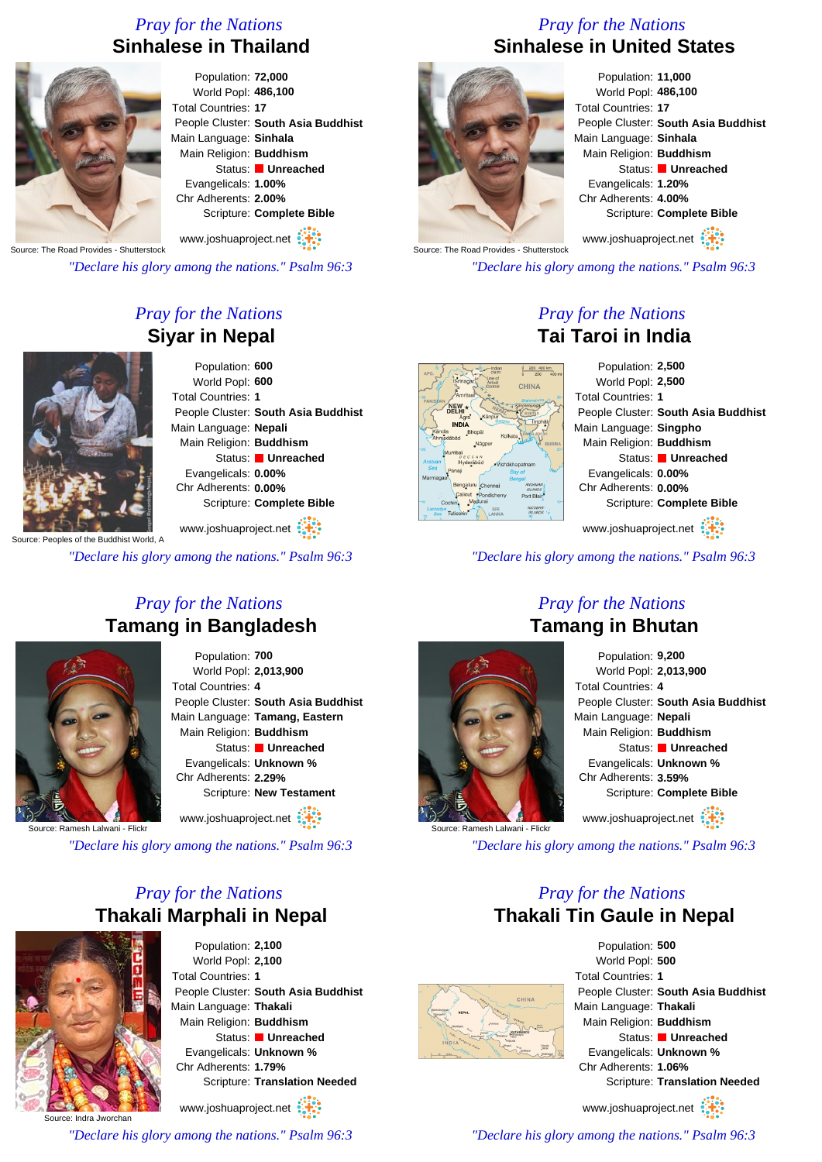# *Pray for the Nations* **Sinhalese in Thailand**



Population: **72,000** World Popl: **486,100** Total Countries: **17** People Cluster: **South Asia Buddhist** Main Language: **Sinhala** Main Religion: **Buddhism** Status: **Unreached** Evangelicals: **1.00%** Chr Adherents: **2.00%** Scripture: **Complete Bible**

Source: The Road Provides - Shutterstock www.joshuaproject.net

*"Declare his glory among the nations." Psalm 96:3*

# *Pray for the Nations* **Siyar in Nepal**



Population: **600** World Popl: **600** Total Countries: **1** People Cluster: **South Asia Buddhist** Main Language: **Nepali** Main Religion: **Buddhism** Status: **Unreached** Evangelicals: **0.00%** Chr Adherents: **0.00%** Scripture: **Complete Bible**

www.joshuaproject.net

*"Declare his glory among the nations." Psalm 96:3*

# *Pray for the Nations* **Tamang in Bangladesh**



Population: **700** World Popl: **2,013,900** Total Countries: **4** People Cluster: **South Asia Buddhist** Main Language: **Tamang, Eastern** Main Religion: **Buddhism** Status: **Unreached** Evangelicals: **Unknown %** Chr Adherents: **2.29%** Scripture: **New Testament**

www.joshuaproject.net

Source: Ramesh Lalwani - Flickr

*"Declare his glory among the nations." Psalm 96:3*

# *Pray for the Nations* **Thakali Marphali in Nepal**



Population: **2,100** World Popl: **2,100** Total Countries: **1** People Cluster: **South Asia Buddhist** Main Language: **Thakali** Main Religion: **Buddhism** Status: **Unreached** Evangelicals: **Unknown %** Chr Adherents: **1.79%** Scripture: **Translation Needed**

Source: Indra Jworchan www.joshuaproject.net

*"Declare his glory among the nations." Psalm 96:3*

# *Pray for the Nations* **Sinhalese in United States**



Population: **11,000** World Popl: **486,100** Total Countries: **17** People Cluster: **South Asia Buddhist** Main Language: **Sinhala** Main Religion: **Buddhism** Status: **Unreached** Evangelicals: **1.20%** Chr Adherents: **4.00%** Scripture: **Complete Bible**

Source: The Road Provides - Shutterstock www.joshuaproject.net

*"Declare his glory among the nations." Psalm 96:3*

# *Pray for the Nations* **Tai Taroi in India**

Population: **2,500**  $\frac{0}{0}$  200 400 km World Popl: **2,500** CHINA Total Countries: **1** People Cluster: **South Asia Buddhist** Main Language: **Singpho** Main Religion: **Buddhism** Status: **Unreached** Evangelicals: **0.00%** Chr Adherents: **0.00%** Scripture: **Complete Bible** www.joshuaproject.net

*"Declare his glory among the nations." Psalm 96:3*



# *Pray for the Nations* **Tamang in Bhutan**

| Population: 9,200                   |
|-------------------------------------|
| World Popl: 2,013,900               |
| Total Countries: 4                  |
| People Cluster: South Asia Buddhist |
| Main Language: Nepali               |
| Main Religion: Buddhism             |
| Status: Unreached                   |
| Evangelicals: Unknown %             |
| Chr Adherents: 3.59%                |
| Scripture: Complete Bible           |
| www.joshuaproject.net               |

Source: Ramesh Lalwani - Flickr *"Declare his glory among the nations." Psalm 96:3*

# *Pray for the Nations* **Thakali Tin Gaule in Nepal**



Population: **500** World Popl: **500** Total Countries: **1** People Cluster: **South Asia Buddhist** Main Language: **Thakali** Main Religion: **Buddhism** Status: **Unreached** Evangelicals: **Unknown %** Chr Adherents: **1.06%** Scripture: **Translation Needed**

www.joshuaproject.net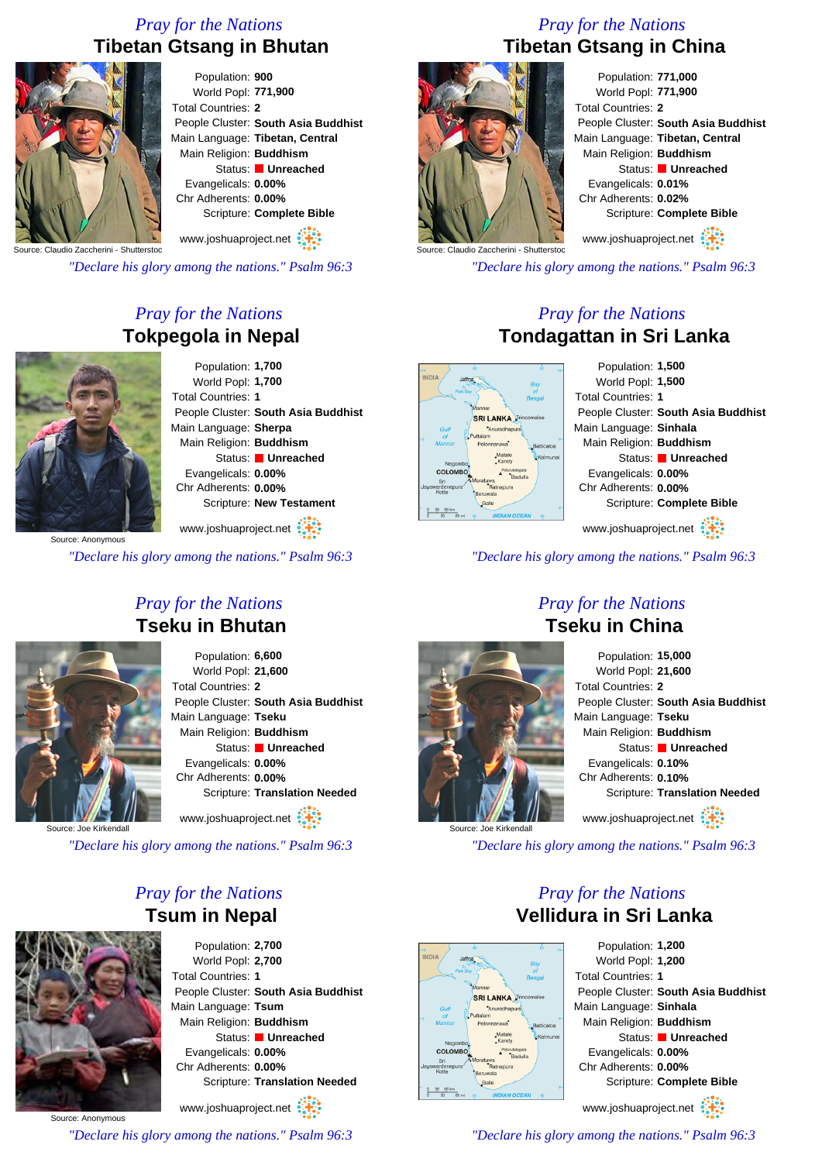# *Pray for the Nations* **Tibetan Gtsang in Bhutan**



Population: **900** World Popl: **771,900** Total Countries: **2** People Cluster: **South Asia Buddhist** Main Language: **Tibetan, Central** Main Religion: **Buddhism** Status: **Unreached** Evangelicals: **0.00%** Chr Adherents: **0.00%** Scripture: **Complete Bible** www.joshuaproject.net

Source: Claudio Zaccherini - Shutterstoc

*"Declare his glory among the nations." Psalm 96:3*

# *Pray for the Nations* **Tokpegola in Nepal**



Population: **1,700** World Popl: **1,700** Total Countries: **1** People Cluster: **South Asia Buddhist** Main Language: **Sherpa** Main Religion: **Buddhism** Status: **Unreached** Evangelicals: **0.00%** Chr Adherents: **0.00%** Scripture: **New Testament**

www.joshuaproject.net

*"Declare his glory among the nations." Psalm 96:3*

# *Pray for the Nations* **Tseku in Bhutan**



Population: **6,600** World Popl: **21,600** Total Countries: **2** People Cluster: **South Asia Buddhist** Main Language: **Tseku** Main Religion: **Buddhism** Status: **Unreached** Evangelicals: **0.00%** Chr Adherents: **0.00%** Scripture: **Translation Needed** www.joshuaproject.net

Source: Joe

*"Declare his glory among the nations." Psalm 96:3*

# *Pray for the Nations* **Tsum in Nepal**



Population: **2,700** World Popl: **2,700** Total Countries: **1** People Cluster: **South Asia Buddhist** Main Language: **Tsum** Main Religion: **Buddhism** Status: **Unreached** Evangelicals: **0.00%** Chr Adherents: **0.00%** Scripture: **Translation Needed** www.joshuaproject.net

Source: Anonymous

*"Declare his glory among the nations." Psalm 96:3*

# *Pray for the Nations* **Tibetan Gtsang in China**



Population: **771,000** World Popl: **771,900** Total Countries: **2** People Cluster: **South Asia Buddhist** Main Language: **Tibetan, Central** Main Religion: **Buddhism** Status: **Unreached** Evangelicals: **0.01%** Chr Adherents: **0.02%** Scripture: **Complete Bible**

www.joshuaproject.net

*"Declare his glory among the nations." Psalm 96:3*

# *Pray for the Nations* **Tondagattan in Sri Lanka**



*"Declare his glory among the nations." Psalm 96:3*

# *Pray for the Nations* **Tseku in China**



Population: **15,000** World Popl: **21,600** Total Countries: **2** People Cluster: **South Asia Buddhist** Main Language: **Tseku** Main Religion: **Buddhism** Status: **Unreached** Evangelicals: **0.10%** Chr Adherents: **0.10%** Scripture: **Translation Needed** www.joshuaproject.net

*"Declare his glory among the nations." Psalm 96:3*

# *Pray for the Nations* **Vellidura in Sri Lanka**



Population: **1,200** World Popl: **1,200** Total Countries: **1** People Cluster: **South Asia Buddhist** Main Language: **Sinhala** Main Religion: **Buddhism** Status: **Unreached** Evangelicals: **0.00%** Chr Adherents: **0.00%** Scripture: **Complete Bible** www.joshuaproject.net